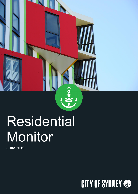

# Residential Monitor

**June 2019**

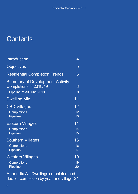### **Contents**

| <b>Introduction</b>                                                                          | 4                           |
|----------------------------------------------------------------------------------------------|-----------------------------|
| <b>Objectives</b>                                                                            | 5                           |
| <b>Residential Completion Trends</b>                                                         | 6                           |
| <b>Summary of Development Activity</b><br>Completions in 2018/19<br>Pipeline at 30 June 2019 | 8<br>9                      |
| <b>Dwelling Mix</b>                                                                          | 11                          |
| <b>CBD Villages</b><br><b>Completions</b><br><b>Pipeline</b>                                 | 12<br>12<br>13              |
| <b>Eastern Villages</b><br><b>Completions</b><br><b>Pipeline</b>                             | 14<br>14<br>15              |
| <b>Southern Villages</b><br><b>Completions</b><br><b>Pipeline</b>                            | 16<br>16<br>17              |
| Western Villages<br><b>Completions</b><br><b>Pipeline</b>                                    | 19<br>19<br>$\overline{20}$ |

Appendix A - [Dwellings completed and](#page-20-0)  [due for completion by year and village](#page-20-0) 21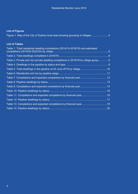#### **List of Figures**

|  |  |  | Figure 1. Map of the City of Sydney local area showing grouping of villages4 |
|--|--|--|------------------------------------------------------------------------------|

#### **List of Tables**

| Table 1. Total residential dwelling completions (2014/15-2018/19) and estimated    |     |
|------------------------------------------------------------------------------------|-----|
|                                                                                    |     |
|                                                                                    |     |
| Table 3. Private and non-private dwelling completions in 2018/19 by village group9 |     |
|                                                                                    |     |
|                                                                                    |     |
|                                                                                    |     |
| Table 7. Completions and expected completions by financial year12                  |     |
|                                                                                    | .13 |
|                                                                                    |     |
|                                                                                    | .15 |
| Table 11. Completions and expected completions by financial year16                 |     |
|                                                                                    | .17 |
| Table 13. Completions and expected completions by financial year19                 |     |
|                                                                                    |     |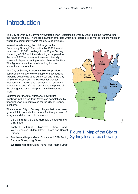### <span id="page-3-0"></span>**Introduction**

The City of Sydney's Community Strategic Plan (Sustainable Sydney 2030) sets the framework for the future of the city. There are a number of targets which are required to be met to fulfil the vision of where the community wants the city to be by 2030.

In relation to housing, the third target in the Community Strategic Plan is that by 2030 there will be at least 138,000 dwellings in the City of Sydney (including 48,000 additional dwellings compared to the June 2007 baseline) for increased diversity of household types, including greater share of families. This figure does not include boarding houses or student accommodation.

The City of Sydney Residential Monitor provides a comprehensive overview of supply of new housing (pipeline activity) as at 30 June year end in the City of Sydney local area. The Residential Monitor measures the growth and distribution of residential development and informs Council and the public of the changes to residential patterns within our local area.

Estimates for the total number of new future dwellings in the short-term (expected completions by financial year) are completed for the City of Sydney local area.

There are ten City of Sydney villages that have been grouped into four distinct areas for the purpose of analysis and discussion in this report:

- **CBD villages:** CBD and Harbour, Chinatown and CBD South
- **Eastern villages:** Macleay Street and Woolloomooloo, Oxford Street, Crown and Baptist **Streets**
- **Southern villages:** Green Square and CBD South, Redfern Street, King Street
- **Western villages:** Glebe Point Road, Harris Street



Figure 1. Map of the City of Sydney local area showing i f ill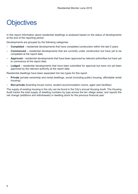### <span id="page-4-0"></span>**Objectives**

In this report information about residential dwellings is analysed based on the status of developments at the end of the reporting period.

Developments are grouped by the following categories:

- **Completed**  residential developments that have completed construction within the last 5 years
- **Commenced**  residential developments that are currently under construction but have yet to be completed at the report date.
- **Approved**  residential developments that have been approved by relevant authorities but have yet to commence at the report date.
- **Lodged**  residential developments that have been submitted for approval but have not yet been approved by the relevant authority at the report date.

Residential dwellings have been separated into two types for this report

- **Private** (private ownership and rental dwellings, social (including public) housing, affordable rental housing)
- **Non-private** (boarding house rooms, student accommodation rooms, aged care facilities)

The supply of existing housing in the city can be found in the City's annual Housing Audit. The Housing Audit tracks the total supply of dwelling numbers by type across the ten village areas, and reports the net change (additions and withdrawals) in dwelling stock for the previous financial year.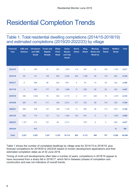# <span id="page-5-0"></span>Residential Completion Trends

#### <span id="page-5-1"></span>Table 1. Total residential dwelling completions (2014/15-2018/19) and estimated completions (2019/20-2022/23) by village

| <b>Financial</b><br>Year | <b>CBD</b> and<br><b>Harbour</b> | <b>Chinatown</b><br>and CBD<br><b>South</b> | <b>Crown and</b><br><b>Baptist</b><br><b>Streets</b> | <b>Glebe</b><br><b>Point</b><br><b>Road</b> | <b>Green</b><br><b>Square</b><br>and City<br><b>South</b> | <b>Harris</b><br><b>Street</b> | <b>King</b><br><b>Street</b> | <b>Macleay</b><br><b>Street and</b><br>Wooll'oo | <b>Oxford</b><br><b>Street</b> | <b>Redfern</b><br><b>Street</b> | <b>Total</b> |
|--------------------------|----------------------------------|---------------------------------------------|------------------------------------------------------|---------------------------------------------|-----------------------------------------------------------|--------------------------------|------------------------------|-------------------------------------------------|--------------------------------|---------------------------------|--------------|
| 2014/15                  | 5                                | 345                                         | 41                                                   | 391                                         | 1,553                                                     | 114                            | 367                          | 22                                              | 109                            | 1,730                           | 5,217        |
| 2015/16                  | 181                              | 141                                         | 146                                                  | 900                                         | 2,556                                                     | 264                            | 1,098                        | 58                                              | 176                            | 664                             | 6,184        |
| 2016/17                  | $\boldsymbol{9}$                 | 488                                         | 98                                                   | 432                                         | 876                                                       | $\boldsymbol{9}$               | 94                           | 19                                              | 28                             | 332                             | 2,385        |
| 2017/18                  | $\mathbf{3}$                     | 665                                         | 177                                                  | 361                                         | 1,968                                                     | 73                             | 638                          | 26                                              | 62                             | 453                             | 4,427        |
| 2018/19                  | 348                              | 1,625                                       | 79                                                   | 302                                         | 2,173                                                     | $\overline{2}$                 | 211                          | 225                                             | 72                             | 1,279                           | 6,316        |
| 2019/20                  | 508                              | 481                                         | 311                                                  | 436                                         | 2,041                                                     | 277                            | 532                          | 88                                              | 124                            | 362                             | 5,160        |
| 2020/21                  | 388                              | 309                                         | 147                                                  | 186                                         | 1,126                                                     | 13                             | 952                          | 36                                              | 113                            | 919                             | 4,189        |
| 2021/22                  | 598                              | 179                                         | 101                                                  | 112                                         | 1,090                                                     | 150                            | 641                          | $\bf 8$                                         | 21                             | 1,585                           | 4,485        |
| 2022/23                  | 1,187                            | 374                                         | 157                                                  | 84                                          | 2,731                                                     | $\overline{\phantom{a}}$       | 579                          | $\bf 8$                                         | $\overline{2}$                 | 905                             | 6,027        |
| 2023/24                  | $\blacksquare$                   | 660                                         |                                                      |                                             |                                                           |                                |                              |                                                 | ÷,                             | 40                              | 700          |
| <b>Total</b>             | 3,227                            | 5,267                                       | 1,257                                                | 3,745                                       | 16,114                                                    | 902                            | 5,112                        | 490                                             | 707                            | 8,269                           | 45,090       |

Table 1 shows the number of completed dwellings by village area for 2014/15 to 2018/19, plus forecast completions for 2019/20 to 2023/24 based on known development applications and their estimated completion dates as of 30 June 2019.

Timing of multi-unit developments often take a number of years; completions in 2018/19 appear to have recovered from a sharp fall in 2016/17, which fell in between phases of completion and construction and was not indicative of overall trends.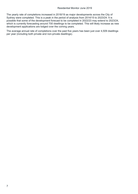The yearly rate of completions increased in 2018/19 as major developments across the City of Sydney were completed. This is a peak in the period of analysis from 2014/15 to 2023/24. It is possible that some of the development forecast to be completed in 2022/23 may extend to 2023/24, which is currently forecasting around 700 dwellings to be completed. This will likely increase as new development applications are lodged over the coming years.

The average annual rate of completions over the past five years has been just over 4,509 dwellings per year (including both private and non-private dwellings).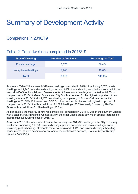# <span id="page-7-0"></span>Summary of Development Activity

### Completions in 2018/19

### <span id="page-7-1"></span>Table 2. Total dwellings completed in 2018/19

| <b>Type of Dwelling</b>  | <b>Number of Dwellings</b> | <b>Percentage of Total</b> |
|--------------------------|----------------------------|----------------------------|
| <b>Private dwellings</b> | 5,076                      | 80.4%                      |
| Non-private dwellings    | 1,240                      | 19.6%                      |
| Total                    | 6,316                      | 100.0%                     |

As seen in Table 2 there were 6,316 new dwellings completed in 2018/19 including 5,076 private dwellings and 1,240 non-private dwellings. Around 66% of total dwelling completions were built in the second half of the financial year. Developments of five or more dwellings accounted for 99.0% of completions in 2018/19. Green Square and City South accounted for the highest proportion of new housing stock in 2018/19 with 2,173 new dwellings completed, or 34.4% of all new residential dwellings in 2018/19. Chinatown and CBD South accounted for the second highest proportion of completions in 2018/19, with an addition of 1,625 dwellings (25.7%) closely followed by Redfern Street with an addition of 1,279 dwellings (20.3%).

As per Table 3 the majority of new residential stock completed in 2018/19 was in the southern villages with a total of 3,663 dwellings. Comparatively, the other village areas saw much smaller increases to their residential dwelling stock in 2018/19.

As of June 2019, the total stock of residential housing was 131,293 dwellings in the City of Sydney local area, comprising 116,868 private dwellings (private ownership and rental dwellings, social (including public) housing, affordable rental housing) and 14,425 non-private dwellings (boarding house rooms, student accommodation rooms, residential care services). *Source: City of Sydney Housing Audit 2019.*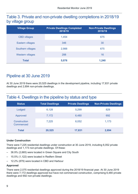#### <span id="page-8-1"></span>Table 3. Private and non-private dwelling completions in 2018/19 by village group

| <b>Village Group</b>    | <b>Private Dwellings Completed</b><br>2018/19 | <b>Non-Private Dwellings</b><br>2018/19 |
|-------------------------|-----------------------------------------------|-----------------------------------------|
| <b>CBD</b> villages     | 1,454                                         | 675                                     |
| Eastern villages        | 346                                           | 30                                      |
| Southern villages       | 2,988                                         | 675                                     |
| <b>Western villages</b> | 288                                           | 16                                      |
| <b>Total</b>            | 5,076                                         | 1,240                                   |

#### <span id="page-8-0"></span>Pipeline at 30 June 2019

At 30 June 2019 there were 20,525 dwellings in the development pipeline, including 17,831 private dwellings and 2,694 non-private dwellings.

#### <span id="page-8-2"></span>Table 4. Dwellings in the pipeline by status and type

| <b>Status</b>             | <b>Total Dwellings</b> | <b>Private Dwellings</b> | <b>Non-Private Dwellings</b> |
|---------------------------|------------------------|--------------------------|------------------------------|
| Lodged                    | 6,128                  | 5,299                    | 829                          |
| Approved                  | 7,172                  | 6,480                    | 692                          |
| Construction<br>Commenced | 7,225                  | 6,052                    | 1,173                        |
| <b>Total</b>              | 20,525                 | 17,831                   | 2,694                        |

#### **Under Construction**

There were 7,225 residential dwellings under construction at 30 June 2019, including 6,052 private dwellings and 1,173 non-private dwellings. Of these:

- 36.9% (2,665) were located in Green Square and City South
- 15.5% (1,122) were located in Redfern Street
- 12.2% (879) were located in CBD and Harbour

#### **Approved**

There were 2,075 residential dwellings approved during the 2018/19 financial year. At 30 June 2019 there were 7,172 dwellings approved but have not commenced construction, comprising 6,480 private dwellings and 692 non-private dwellings.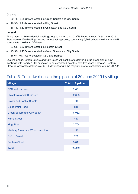Of these:

- 39.7% (2,850) were located in Green Square and City South
- 16.9% (1,214) were located in King Street
- 16.4% (1,174) were located in Chinatown and CBD South

#### **Lodged**

There were 3,119 residential dwellings lodged during the 2018/19 financial year. At 30 June 2019 there were 6,128 dwellings lodged but not yet approved, comprising 5,299 private dwellings and 829 non-private dwellings. Of these:

- 37.6% (2,304) were located in Redfern Street
- 23.5% (1,437) were located in Green Square and City South
- 16.6 (1,017) were located in CBD and Harbour

Looking ahead, Green Square and City South will continue to deliver a large proportion of new dwellings with nearly 7,000 expected to be completed over the next five years. Likewise, Redfern Street is forecast to deliver over 3,700 dwellings with the majority due for completion around 2021/22.

#### <span id="page-9-0"></span>Table 5. Total dwellings in the pipeline at 30 June 2019 by village

| <b>Village</b>                          | <b>Total in Pipeline</b> |
|-----------------------------------------|--------------------------|
| <b>CBD and Harbour</b>                  | 2,681                    |
| <b>Chinatown and CBD South</b>          | 2,003                    |
| <b>Crown and Baptist Streets</b>        | 716                      |
| <b>Glebe Point Road</b>                 | 818                      |
| <b>Green Square and City South</b>      | 6,952                    |
| <b>Harris Street</b>                    | 440                      |
| <b>King Street</b>                      | 2,704                    |
| <b>Macleay Street and Woolloomooloo</b> | 140                      |
| <b>Oxford Street</b>                    | 260                      |
| <b>Redfern Street</b>                   | 3,811                    |
| <b>Total</b>                            | 20,525                   |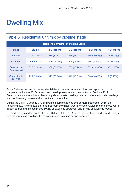# <span id="page-10-0"></span>Dwelling Mix

#### <span id="page-10-1"></span>Table 6. Residential unit mix by pipeline stage

| <b>Residential Unit Mix by Pipeline Stage</b> |               |               |               |              |            |  |  |  |
|-----------------------------------------------|---------------|---------------|---------------|--------------|------------|--|--|--|
| <b>Stage</b>                                  | <b>Studio</b> | 1 Bedroom     | 2 Bedroom     | 3 Bedroom    | 4+ Bedroom |  |  |  |
| Lodged                                        | 173 (3.26%)   | 1676 (31.63%) | 2868 (54.12%) | 566 (10.68%) | 16 (0.30%) |  |  |  |
| Approved                                      | 299 (4.61%)   | 1892 (29.2%)  | 3594 (55.46%) | 645 (9.95%)  | 50 (0.77%) |  |  |  |
| Construction<br>Commenced                     | 317 (5.24%)   | 2038 (33.67%) | 2780 (45.94%) | 822 (13.58%) | 95 (1.57%) |  |  |  |
| Completed in<br>2018/19                       | 295 (5.80%)   | 1823 (35.86%) | 2416 (47.53%) | 540 (10.62%) | 9(0.18%)   |  |  |  |

Table 6 shows the unit mix for residential developments currently lodged and approved, those completed within the 2018/19 year, and developments under construction at 30 June 2019. Developments in the unit mix charts only show private dwellings, and exclude non-private dwellings such as boarding houses and student accommodation.

During the 2018/19 year 57.3% of dwellings completed had two or more bedrooms, whilst the remaining 42.7% were studio or one-bedroom dwellings. Over the same twelve month period, two- or three+ bedroom units comprised 60.2% of dwellings approved, and 68.6% of dwellings lodged.

Of the dwellings under construction at 30 June 2019, 61.1% were two- or three+ bedroom dwellings, with the remaining dwellings being constructed as studio or one-bedroom.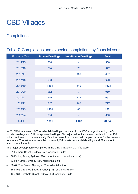# <span id="page-11-0"></span>CBD Villages

### <span id="page-11-1"></span>**Completions**

<span id="page-11-2"></span>

| Table 7. Completions and expected completions by financial year |                          |                              |              |  |  |  |
|-----------------------------------------------------------------|--------------------------|------------------------------|--------------|--|--|--|
| <b>Financial Year</b>                                           | <b>Private Dwellings</b> | <b>Non-Private Dwellings</b> | <b>Total</b> |  |  |  |
| 2014/15                                                         | 350                      |                              | 350          |  |  |  |
| 2015/16                                                         | 294                      | 28                           | 322          |  |  |  |
| 2016/17                                                         | 9                        | 488                          | 497          |  |  |  |
| 2017/18                                                         | 668                      |                              | 668          |  |  |  |
| 2018/19                                                         | 1,454                    | 519                          | 1,973        |  |  |  |
| 2019/20                                                         | 982                      | $\overline{7}$               | 989          |  |  |  |
| 2020/21                                                         | 579                      | 118                          | 697          |  |  |  |
| 2021/22                                                         | 617                      | 160                          | 777          |  |  |  |
| 2022/23                                                         | 1,478                    | 83                           | 1,561        |  |  |  |
| 2023/24                                                         | 660                      |                              | 660          |  |  |  |
| <b>Total</b>                                                    | 7,091                    | 1,403                        | 84,94        |  |  |  |

In 2018/19 there were 1,973 residential dwellings completed in the CBD villages including 1,454 private dwellings and 519 non-private dwellings. Six major residential developments with over 100 units contributed to this total - a significant increase from the annual completion rates for the previous four years. The net total of completions was 1,454 private residential dwellings and 529 student accommodation units.

The major developments completed in the CBD Villages in 2018/19 were:

- 81 Harbour Street, Sydney (577 residential units)
- 39 Darling Drive, Sydney (520 student accommodation rooms)
- 82 Hay Street, Sydney (390 residential units)
- 38-44 York Street, Sydney (199 residential units)
- 161-165 Clarence Street, Sydney (148 residential units)
- 130-134 Elizabeth Street Sydney (138 residential units)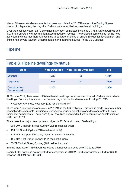Many of these major developments that were completed in 2018/19 were in the Darling Square precinct in Haymarket, the majority of which were in multi-storey residential buildings.

Over the past five years, 3,810 dwellings have been completed including 2,775 private dwellings and 1,035 non-private dwellings (student accommodation rooms). The projected completions for the next five years indicate that there will continue to be large amounts of private residential development and limited non private (student accommodation and boarding houses) in the CBD villages.

#### <span id="page-12-0"></span>**Pipeline**

#### <span id="page-12-1"></span>Table 8. Pipeline dwellings by status

| <b>Stage</b>                            | <b>Private Dwellings</b> | Non-Private Dwellings | <b>Total</b> |
|-----------------------------------------|--------------------------|-----------------------|--------------|
| <b>Lodged</b>                           | 1,257                    | 108                   | 1,365        |
| <b>Approved</b>                         | 1,699                    | 260                   | 1,959        |
| <b>Construction</b><br><b>Commenced</b> | 1,360                    | ۰                     | 1,360        |

At 30 June 2019, there were 1,360 residential dwellings under construction, all of which were private dwellings. Construction started on one new major residential development during 2018/19:

– 7 Rosebery Avenue, Rosebery (229 residential units)

There were 154 dwellings approved in 2018/19 in the CBD villages. This total is made up of a number of smaller developments, including minor change of use applications and developments with small residential components. There were 1,959 dwellings approved but yet to commence construction as of 30 June 2019.

There were five major developments lodged in 2018/19 with over 100 dwellings:

- 201-207 Elizabeth Street, Sydney (295 residential units)
- 194 Pitt Street, Sydney (246 residential units)
- 133-141 Liverpool Street, Sydney (221 residential units)
- 189-197 Kent Street, Sydney (144 residential units)
- 65-77 Market Street, Sydney (101 residential units)

In total, there were 1,365 dwellings lodged but not yet approved as of 30 June 2019.

Nearly 1,000 dwellings are projected for completion in 2019/20, and approximately a further 3,600 between 2020/21 and 2023/24.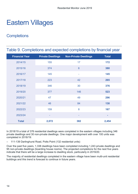# <span id="page-13-0"></span>Eastern Villages

### <span id="page-13-1"></span>**Completions**

<span id="page-13-2"></span>

| Table 9. Completions and expected completions by financial year |                          |                              |              |  |  |
|-----------------------------------------------------------------|--------------------------|------------------------------|--------------|--|--|
| <b>Financial Year</b>                                           | <b>Private Dwellings</b> | <b>Non-Private Dwellings</b> | <b>Total</b> |  |  |
| 2014/15                                                         | 155                      | 17                           | 172          |  |  |
| 2015/16                                                         | 374                      | $6\phantom{1}6$              | 380          |  |  |
| 2016/17                                                         | 145                      | ٠                            | 145          |  |  |
| 2017/18                                                         | 223                      | 42                           | 265          |  |  |
| 2018/19                                                         | 346                      | 30                           | 376          |  |  |
| 2019/20                                                         | 377                      | 146                          | 523          |  |  |
| 2020/21                                                         | 47                       | 49                           | 296          |  |  |
| 2021/22                                                         | 46                       | 84                           | 130          |  |  |
| 2022/23                                                         | 159                      | 8                            | 167          |  |  |
| 2023/24                                                         |                          |                              |              |  |  |
| <b>Total</b>                                                    | 2,072                    | 382                          | 2,454        |  |  |

In 2018/19 a total of 376 residential dwellings were completed in the eastern villages including 346 private dwellings and 30 non-private dwellings. One major development with over 100 units was completed in 2018/19:

– 111-139 Darlinghurst Road, Potts Point (132 residential units)

Over the past five years, 1,338 dwellings have been completed including 1,243 private dwellings and 95 non-private dwellings (boarding house rooms). The projected completions for the next five years indicate that there will be a large increase to dwelling stock, particularly in 2019/20.

The majority of residential dwellings completed in the eastern village have been multi-unit residential buildings and this trend is forecast to continue in future years.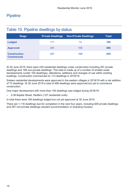#### <span id="page-14-0"></span>**Pipeline**

| <b>Stage</b>                            | <b>Private Dwellings</b> | <b>Non-Private Dwellings</b> | <b>Total</b> |
|-----------------------------------------|--------------------------|------------------------------|--------------|
| <b>Lodged</b>                           | 171                      | 14                           | 185          |
| <b>Approved</b>                         | 391                      | 105                          | 496          |
|                                         |                          |                              |              |
| <b>Construction</b><br><b>Commenced</b> | 267                      | 168                          | 435          |

#### <span id="page-14-1"></span>Table 10. Pipeline dwellings by status

At 30 June 2019, there were 435 residential dwellings under construction including 267 private dwellings and 168 non-private dwellings. This total is made up of a number of smaller-scale developments (under 100 dwellings), alterations, additions and changes of use within existing buildings. Construction commenced on 113 dwellings in 2018/19.

Sixteen residential developments were approved in the eastern villages in 2018/19 with a net addition of 73 dwellings. At 30 June 2019 a total of 496 dwellings were approved but yet to commence construction.

One major development with more than 100 dwellings was lodged during 2018/19:

– 2-38 Baptist Street, Redfern (157 residential units)

In total there were 185 dwellings lodged but not yet approved at 30 June 2019.

There are 1,116 dwellings due for completion in the next four years, including 829 private dwellings and 287 non-private dwellings (student accommodation or boarding houses).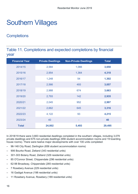# <span id="page-15-0"></span>Southern Villages

### <span id="page-15-1"></span>**Completions**

#### <span id="page-15-2"></span>Table 11. Completions and expected completions by financial year

| <b>Financial Year</b> | <b>Private Dwellings</b> | <b>Non-Private Dwellings</b> | <b>Total</b> |
|-----------------------|--------------------------|------------------------------|--------------|
| 2014/15               | 2,584                    | 1,066                        | 3,650        |
| 2015/16               | 2,954                    | 1,364                        | 4,318        |
| 2016/17               | 1,248                    | 54                           | 1,302        |
| 2017/18               | 2,566                    | 493                          | 3,057        |
| 2018/19               | 2,988                    | 674                          | 3,663        |
| 2019/20               | 2,793                    | 142                          | 2,935        |
| 2020/21               | 2,045                    | 952                          | 2,997        |
| 2021/22               | 2,662                    | 645                          | 3,316        |
| 2022/23               | 4,122                    | 93                           | 4,215        |
| 2023/24               | 40                       | ٠                            | 40           |
| <b>Total</b>          | 24,002                   | 5,493                        | 29,495       |

In 2018/19 there were 3,663 residential dwellings completed in the southern villages, including 3,079 private dwellings and 675 non-private dwellings (656 student accommodation rooms and 19 boarding house rooms). There were twelve major developments with over 100 units completed:

- 96-148 City Road, Darlington (656 student accommodation rooms)
- 906 Bourke Road, Zetland (343 residential units)
- 301-303 Botany Road, Zetland (329 residential units)
- 85 O'Connor Street, Chippendale (296 residential units)
- 62-98 Broadway, Chippendale (265 residential units)
- 7 Rosebery Avenue (229 residential units)
- 16 Gadigal Avenue (198 residential units)
- 11 Rosebery Avenue, Rosebery (189 residential units)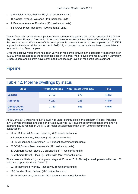- 5 Hadfields Street, Erskineville (175 residential units)
- 18 Gadigal Avenue, Waterloo (110 residential units)
- 2 Mentmore Avenue, Rosebery (101 residential units)
- 6-8 Crewe Place, Rosebery (100 residential units)

Many of the new residential completions in the southern villages are part of the renewal of the Green Square Urban Renewal Area which is forecast to experience continued levels of residential growth in the next four years. While most of this development is currently forecast to be completed by 2022/23 it is possible timelines will be pushed out to 2023/24, increasing the currently low level of completions forecast for that financial year.

Over the past five years there has been very high residential growth in the southern villages with over 12,000 dwellings added to the residential stock in this area. Major developments in Sydney University, Green Square and Redfern have contributed to these high levels of residential development.

### <span id="page-16-0"></span>**Pipeline**

#### <span id="page-16-1"></span>Table 12. Pipeline dwellings by status

| <b>Stage</b>                            | <b>Private Dwellings</b> | <b>Non-Private Dwellings</b> | <b>Total</b> |
|-----------------------------------------|--------------------------|------------------------------|--------------|
| <b>Lodged</b>                           | 3,703                    | 670                          | 4,373        |
| <b>Approved</b>                         | 4,213                    | 236                          | 4,449        |
| <b>Construction</b><br><b>Commenced</b> | 3,710                    | 935                          | 4,645        |

At 30 June 2019 there were 4,645 dwellings under construction in the southern villages, including 3,710 private dwellings and 935 non-private dwellings (891 student accommodation rooms and 44 boarding house rooms). In 2018/19 six major developments with over 100 units commenced construction:

- 22-55 Rothschild Avenue, Rosebery (285 residential units)
- 7 Rosebery Avenue, Rosebery (229 residential units)
- 35-47 Wilson Lane, Darlington (201 student accommodation units)
- 620-632 Botany Road, Alexandria (191 residential units)
- 57 Ashmore Street (Block C), Erskineville (171 residential units)
- 57 Ashmore Street (Block B), Erskineville (157 residential units)

There were 4,449 dwellings at approval stage at 30 June 2019. Six major developments with over 100 units were approved during 2018/19:

- 22-55 Rothschild Avenue, Rosebery (285 residential units)
- 888 Bourke Street, Zetland (206 residential units)
- 35-47 Wilson Lane, Darlington (201 student accommodation units)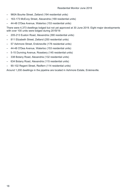- 960A Bourke Street, Zetland (194 residential units)
- 163-173 McEvoy Street, Alexandria (169 residential units)
- 44-48 O'Dea Avenue, Waterloo (153 residential units)

There were 4,373 dwellings lodged but not yet approved at 30 June 2019. Eight major developments with over 100 units were lodged during 2018/19:

- 205-213 Euston Road, Alexandria (390 residential units)
- 811 Elizabeth Street, Zetland (250 residential units)
- 57 Ashmore Street, Erskineville (178 residential units)
- 44-48 O'Dea Avenue, Waterloo (153 residential units)
- 5-15 Dunning Avenue, Rosebery (145 residential units)
- 338 Botany Road, Alexandria (132 residential units)
- 634 Botany Road, Alexandria (115 residential units)
- 90-102 Regent Street, Redfern (114 residential units)

Around 1,200 dwellings in the pipeline are located in Ashmore Estate, Erskineville.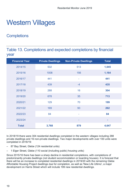### <span id="page-18-0"></span>Western Villages

### <span id="page-18-1"></span>**Completions**

#### <span id="page-18-2"></span>Table 13. Completions and expected completions by financial year

| <b>Financial Year</b> | <b>Private Dwellings</b> | <b>Non-Private Dwellings</b> | <b>Total</b> |
|-----------------------|--------------------------|------------------------------|--------------|
| 2014/15               | 532                      | 513                          | 1,045        |
| 2015/16               | 1008                     | 156                          | 1,164        |
| 2016/17               | 441                      | $\sim$                       | 441          |
| 2017/18               | 439                      | $-4$                         | 435          |
| 2018/19               | 288                      | 16                           | 304          |
| 2019/20               | 678                      | 35                           | 713          |
| 2020/21               | 129                      | 70                           | 199          |
| 2021/22               | 169                      | 93                           | 262          |
| 2022/23               | 84                       | ٠                            | 84           |
| 2023/24               | ۰                        | ۰                            | ۰            |
| <b>Total</b>          | 3,768                    | 879                          | 4,647        |

In 2018/19 there were 304 residential dwellings completed in the western villages including 288 private dwellings and 16 non-private dwellings. Two major developments with over 100 units were completed in 2018/19:

- 87 Bay Street, Glebe (124 residential units)
- 1 Elger Street, Glebe (110 social (including public) housing units)

Since 2015/16 there has been a sharp decline in residential completions, with completions of predominantly private dwellings (not student accommodation or boarding houses). It is forecast that there will be an increase to completed residential dwellings in 2019/20 with the remaining Glebe Affordable Housing Project dwellings due for completion, as well as 'New Life Ultimo', a major development on Harris Street which will include 199 new residential dwellings.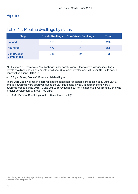#### <span id="page-19-0"></span>**Pipeline**

| <b>Stage</b>                            | <b>Private Dwellings</b> | <b>Non-Private Dwellings</b> | <b>Total</b> |
|-----------------------------------------|--------------------------|------------------------------|--------------|
| <b>Lodged</b>                           | 168                      | 37                           | 205          |
| <b>Approved</b>                         | 177                      | 91                           | 268          |
| <b>Construction</b><br><b>Commenced</b> | 715                      | 70                           | 785          |

#### <span id="page-19-1"></span>Table 14. Pipeline dwellings by status

At 30 June 2019 there were 785 dwellings under construction in the western villages including 715 private dwellings and 70 non-private dwellings. One major development with over 100 units began construction during 2018/19:

– 8 Elger Street, Glebe (232 residential dwellings)

There were 268 dwellings in approval stage that had not yet started construction at 30 June 2019, and 183 dwellings were approved during the 2018/19 financial year. In addition there were 71 dwellings lodged during 2018/19 and 205 currently lodged but not yet approved. Of this total, one was a major development with over 100 units:

– 20-80 Pyrmont Street, Pyrmont (150 residential units)[1](#page-19-2)

<span id="page-19-2"></span><sup>1</sup> As of August 2019 this project is being reviewed under NSW Government planning controls. It is unconfirmed as to whether it will still proceed.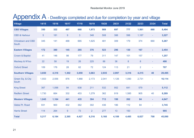### Appendix A - Dwellings completed and due for completion by year and village

<span id="page-20-0"></span>

| <b>Village</b>                    | 14/15          | 15/16 | 16/17           | 17/18 | 18/19 | 19/20 | 20/21 | 21/22            | 22/23                    | 23/24                    | <b>Total</b> |
|-----------------------------------|----------------|-------|-----------------|-------|-------|-------|-------|------------------|--------------------------|--------------------------|--------------|
| <b>CBD Villages</b>               | 350            | 322   | 497             | 668   | 1,973 | 989   | 697   | 777              | 1,561                    | 660                      | 8,494        |
| <b>CBD &amp; Harbour</b>          | 5 <sup>5</sup> | 181   | $9\phantom{.0}$ | 3     | 348   | 508   | 388   | 598              | 1,187                    | $\sim$                   | 3,227        |
| <b>Chinatown and CBD</b><br>South | 345            | 141   | 488             | 665   | 1,625 | 481   | 309   | 179              | 374                      | 660                      | 5,267        |
| <b>Eastern Villages</b>           | 172            | 380   | 145             | 265   | 376   | 523   | 296   | 130              | 167                      | $\sim$                   | 2,454        |
| <b>Crown &amp; Baptist</b>        | 41             | 146   | 98              | 177   | 79    | 311   | 147   | 101              | 157                      | $\overline{\phantom{a}}$ | 1,257        |
| Macleay & W'loo                   | 22             | 58    | 19              | 26    | 225   | 88    | 36    | $\boldsymbol{8}$ | 8                        | $\sim$                   | 490          |
| <b>Oxford Street</b>              | 109            | 176   | 28              | 62    | 72    | 124   | 113   | 21               | $\overline{2}$           | $\sim$                   | 707          |
| <b>Southern Villages</b>          | 3,650          | 4,318 | 1,302           | 3,059 | 3,663 | 2,935 | 2,997 | 3,316            | 4,215                    | 40                       | 29,495       |
| Green Sq. & City<br>South         | 1,553          | 2,556 | 876             | 1,968 | 2,173 | 2,041 | 1,126 | 1,090            | 2,731                    | $\blacksquare$           | 16,114       |
| <b>King Street</b>                | 367            | 1,098 | 94              | 638   | 211   | 532   | 952   | 641              | 579                      | $\equiv$                 | 5,112        |
| <b>Redfern Street</b>             | 1,730          | 664   | 332             | 453   | 1,279 | 362   | 919   | 1,585            | 905                      | 40                       | 8,269        |
| <b>Western Villages</b>           | 1,045          | 1,164 | 441             | 435   | 304   | 713   | 199   | 262              | 84                       | ٠                        | 4,647        |
| Glebe Pt. Road                    | 931            | 900   | 432             | 362   | 302   | 436   | 186   | 112              | 84                       | $\sim$                   | 3,745        |
| <b>Harris Street</b>              | 114            | 264   | $9\phantom{.0}$ | 73    | 2     | 277   | 13    | 150              | $\overline{\phantom{a}}$ | ٠                        | 905          |
| <b>Total</b>                      | 5,217          | 6,184 | 2,385           | 4,427 | 6,316 | 5,160 | 4,189 | 4,485            | 6,027                    | 700                      | 45,090       |